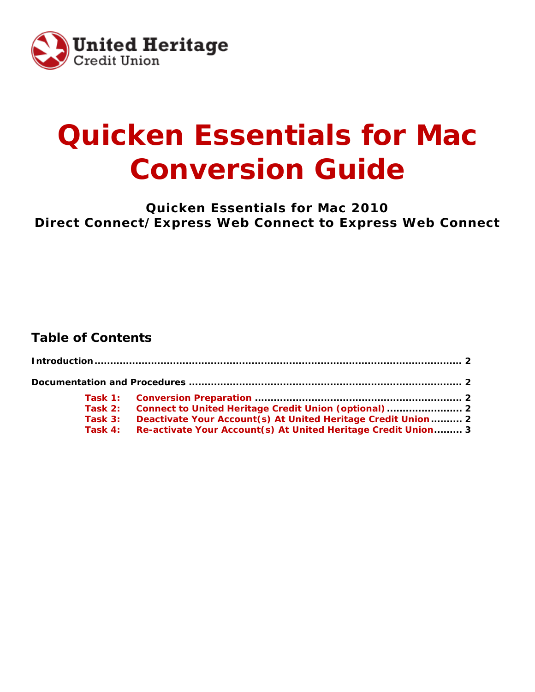

# **Quicken Essentials for Mac Conversion Guide**

**Quicken Essentials for Mac 2010 Direct Connect/Express Web Connect to Express Web Connect**

## **Table of Contents**

| Task 3: Deactivate Your Account(s) At United Heritage Credit Union 2   |  |
|------------------------------------------------------------------------|--|
| Task 4: Re-activate Your Account (s) At United Heritage Credit Union 3 |  |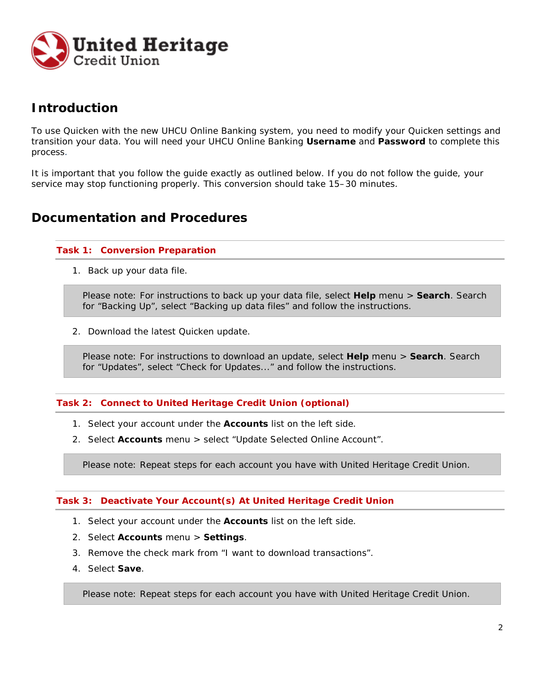

## **Introduction**

To use Quicken with the new UHCU Online Banking system, you need to modify your Quicken settings and transition your data. You will need your UHCU Online Banking **Username** and **Password** to complete this process.

It is important that you follow the guide exactly as outlined below. If you do not follow the guide, your service may stop functioning properly. This conversion should take 15–30 minutes.

### **Documentation and Procedures**

#### **Task 1: Conversion Preparation**

1. Back up your data file.

Please note: For instructions to back up your data file, select **Help** menu > **Search**. Search for "Backing Up", select "Backing up data files" and follow the instructions.

2. Download the latest Quicken update.

Please note: For instructions to download an update, select **Help** menu > **Search**. Search for "Updates", select "Check for Updates..." and follow the instructions.

#### **Task 2: Connect to United Heritage Credit Union (optional)**

- 1. Select your account under the **Accounts** list on the left side.
- 2. Select **Accounts** menu > select "Update Selected Online Account".

Please note: Repeat steps for each account you have with United Heritage Credit Union.

#### **Task 3: Deactivate Your Account(s) At United Heritage Credit Union**

- 1. Select your account under the **Accounts** list on the left side.
- 2. Select **Accounts** menu > **Settings**.
- 3. Remove the check mark from "I want to download transactions".
- 4. Select **Save**.

Please note: Repeat steps for each account you have with United Heritage Credit Union.